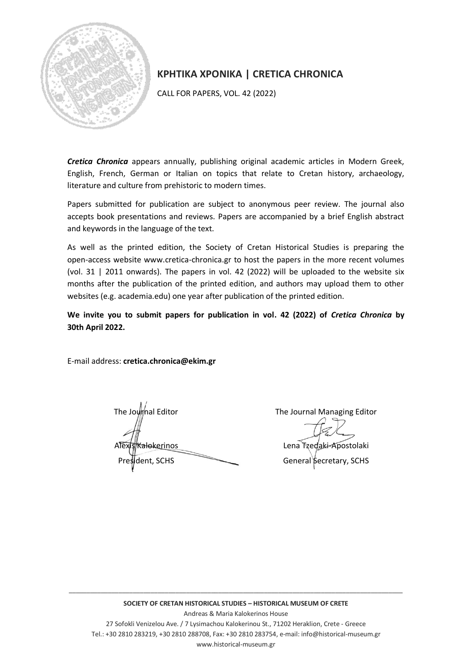

## **ΚΡΗΤΙΚΑ ΧΡΟΝΙΚΑ | CRETICA CHRONICA**

CALL FOR PAPERS, VOL. 42 (2022)

*Cretica Chronica* appears annually, publishing original academic articles in Modern Greek, English, French, German or Italian on topics that relate to Cretan history, archaeology, literature and culture from prehistoric to modern times.

Papers submitted for publication are subject to anonymous peer review. The journal also accepts book presentations and reviews. Papers are accompanied by a brief English abstract and keywords in the language of the text.

As well as the printed edition, the Society of Cretan Historical Studies is preparing the open-access website www.cretica-chronica.gr to host the papers in the more recent volumes (vol. 31 | 2011 onwards). The papers in vol. 42 (2022) will be uploaded to the website six months after the publication of the printed edition, and authors may upload them to other websites (e.g. academia.edu) one year after publication of the printed edition.

**We invite you to submit papers for publication in vol. 42 (2022) of** *Cretica Chronica* **by 30th April 2022.**

E-mail address: **cretica.chronica@ekim.gr**

The Journal Editor The Journal Managing Editor

**Kalokerinos** Lena Tzedaki-Apostolaki President, SCHS General Secretary, SCHS

\_\_\_\_\_\_\_\_\_\_\_\_\_\_\_\_\_\_\_\_\_\_\_\_\_\_\_\_\_\_\_\_\_\_\_\_\_\_\_\_\_\_\_\_\_\_\_\_\_\_\_\_\_\_\_\_\_\_\_\_\_\_\_\_\_\_\_\_\_\_\_\_\_\_\_\_\_\_\_\_\_\_\_\_\_\_\_\_\_\_\_\_\_\_